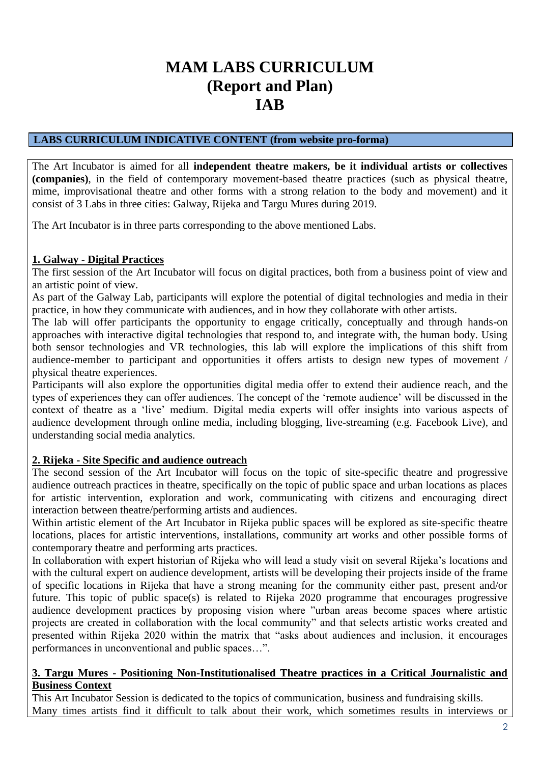# **MAM LABS CURRICULUM (Report and Plan) IAB**

### **LABS CURRICULUM INDICATIVE CONTENT (from website pro-forma)**

The Art Incubator is aimed for all **independent theatre makers, be it individual artists or collectives (companies)**, in the field of contemporary movement-based theatre practices (such as physical theatre, mime, improvisational theatre and other forms with a strong relation to the body and movement) and it consist of 3 Labs in three cities: Galway, Rijeka and Targu Mures during 2019.

The Art Incubator is in three parts corresponding to the above mentioned Labs.

# **1. Galway - Digital Practices**

The first session of the Art Incubator will focus on digital practices, both from a business point of view and an artistic point of view.

As part of the Galway Lab, participants will explore the potential of digital technologies and media in their practice, in how they communicate with audiences, and in how they collaborate with other artists.

The lab will offer participants the opportunity to engage critically, conceptually and through hands-on approaches with interactive digital technologies that respond to, and integrate with, the human body. Using both sensor technologies and VR technologies, this lab will explore the implications of this shift from audience-member to participant and opportunities it offers artists to design new types of movement / physical theatre experiences.

Participants will also explore the opportunities digital media offer to extend their audience reach, and the types of experiences they can offer audiences. The concept of the 'remote audience' will be discussed in the context of theatre as a 'live' medium. Digital media experts will offer insights into various aspects of audience development through online media, including blogging, live-streaming (e.g. Facebook Live), and understanding social media analytics.

# **2. Rijeka - Site Specific and audience outreach**

The second session of the Art Incubator will focus on the topic of site-specific theatre and progressive audience outreach practices in theatre, specifically on the topic of public space and urban locations as places for artistic intervention, exploration and work, communicating with citizens and encouraging direct interaction between theatre/performing artists and audiences.

Within artistic element of the Art Incubator in Rijeka public spaces will be explored as site-specific theatre locations, places for artistic interventions, installations, community art works and other possible forms of contemporary theatre and performing arts practices.

In collaboration with expert historian of Rijeka who will lead a study visit on several Rijeka's locations and with the cultural expert on audience development, artists will be developing their projects inside of the frame of specific locations in Rijeka that have a strong meaning for the community either past, present and/or future. This topic of public space(s) is related to Rijeka 2020 programme that encourages progressive audience development practices by proposing vision where "urban areas become spaces where artistic projects are created in collaboration with the local community" and that selects artistic works created and presented within Rijeka 2020 within the matrix that "asks about audiences and inclusion, it encourages performances in unconventional and public spaces…".

### **3. Targu Mures - Positioning Non-Institutionalised Theatre practices in a Critical Journalistic and Business Context**

This Art Incubator Session is dedicated to the topics of communication, business and fundraising skills. Many times artists find it difficult to talk about their work, which sometimes results in interviews or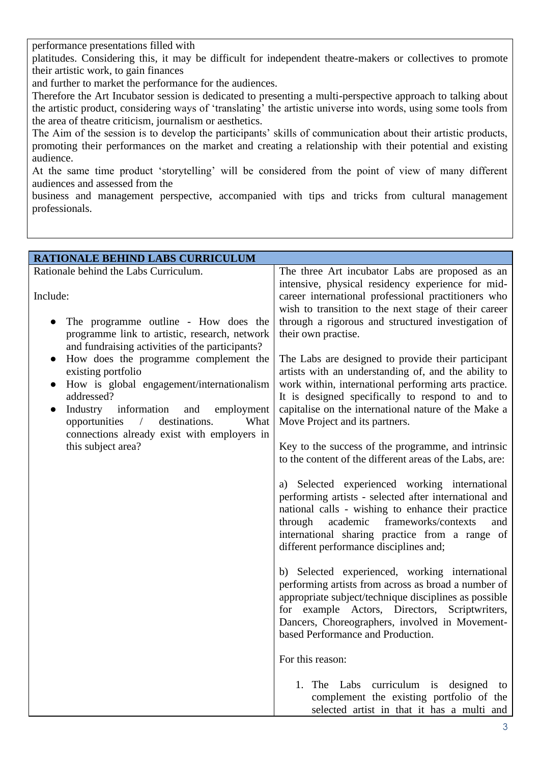performance presentations filled with

platitudes. Considering this, it may be difficult for independent theatre-makers or collectives to promote their artistic work, to gain finances

and further to market the performance for the audiences.

Therefore the Art Incubator session is dedicated to presenting a multi-perspective approach to talking about the artistic product, considering ways of 'translating' the artistic universe into words, using some tools from the area of theatre criticism, journalism or aesthetics.

The Aim of the session is to develop the participants' skills of communication about their artistic products, promoting their performances on the market and creating a relationship with their potential and existing audience.

At the same time product 'storytelling' will be considered from the point of view of many different audiences and assessed from the

business and management perspective, accompanied with tips and tricks from cultural management professionals.

| RATIONALE BEHIND LABS CURRICULUM                                                                                                                                                                                                                                                                                                                                                                                                                                                                         |                                                                                                                                                                                                                                                                                                                                                                                                                                                                                                                                                                                                                      |
|----------------------------------------------------------------------------------------------------------------------------------------------------------------------------------------------------------------------------------------------------------------------------------------------------------------------------------------------------------------------------------------------------------------------------------------------------------------------------------------------------------|----------------------------------------------------------------------------------------------------------------------------------------------------------------------------------------------------------------------------------------------------------------------------------------------------------------------------------------------------------------------------------------------------------------------------------------------------------------------------------------------------------------------------------------------------------------------------------------------------------------------|
| Rationale behind the Labs Curriculum.<br>Include:<br>The programme outline - How does the<br>programme link to artistic, research, network<br>and fundraising activities of the participants?<br>How does the programme complement the<br>$\bullet$<br>existing portfolio<br>How is global engagement/internationalism<br>$\bullet$<br>addressed?<br>Industry<br>information<br>employment<br>and<br>destinations.<br>What<br>opportunities<br>$\sqrt{2}$<br>connections already exist with employers in | The three Art incubator Labs are proposed as an<br>intensive, physical residency experience for mid-<br>career international professional practitioners who<br>wish to transition to the next stage of their career<br>through a rigorous and structured investigation of<br>their own practise.<br>The Labs are designed to provide their participant<br>artists with an understanding of, and the ability to<br>work within, international performing arts practice.<br>It is designed specifically to respond to and to<br>capitalise on the international nature of the Make a<br>Move Project and its partners. |
| this subject area?                                                                                                                                                                                                                                                                                                                                                                                                                                                                                       | Key to the success of the programme, and intrinsic<br>to the content of the different areas of the Labs, are:<br>a) Selected experienced working international<br>performing artists - selected after international and<br>national calls - wishing to enhance their practice<br>frameworks/contexts<br>academic<br>through<br>and<br>international sharing practice from a range of<br>different performance disciplines and;                                                                                                                                                                                       |
|                                                                                                                                                                                                                                                                                                                                                                                                                                                                                                          | b) Selected experienced, working international<br>performing artists from across as broad a number of<br>appropriate subject/technique disciplines as possible<br>for example Actors, Directors, Scriptwriters,<br>Dancers, Choreographers, involved in Movement-<br>based Performance and Production.                                                                                                                                                                                                                                                                                                               |
|                                                                                                                                                                                                                                                                                                                                                                                                                                                                                                          | For this reason:<br>1. The Labs curriculum is designed<br>to<br>complement the existing portfolio of the<br>selected artist in that it has a multi and                                                                                                                                                                                                                                                                                                                                                                                                                                                               |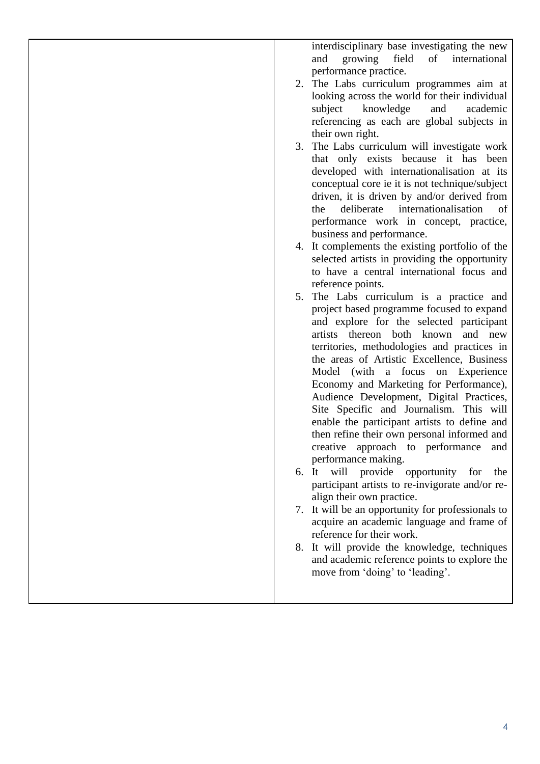interdisciplinary base investigating the new and growing field of international performance practice. 2. The Labs curriculum programmes aim at looking across the world for their individual subject knowledge and academic referencing as each are global subjects in their own right. 3. The Labs curriculum will investigate work that only exists because it has been developed with internationalisation at its conceptual core ie it is not technique/subject driven, it is driven by and/or derived from the deliberate internationalisation of performance work in concept, practice, business and performance. 4. It complements the existing portfolio of the selected artists in providing the opportunity to have a central international focus and reference points. 5. The Labs curriculum is a practice and project based programme focused to expand and explore for the selected participant artists thereon both known and new territories, methodologies and practices in the areas of Artistic Excellence, Business Model (with a focus on Experience Economy and Marketing for Performance), Audience Development, Digital Practices, Site Specific and Journalism. This will enable the participant artists to define and then refine their own personal informed and creative approach to performance and performance making. 6. It will provide opportunity for the participant artists to re-invigorate and/or realign their own practice. 7. It will be an opportunity for professionals to acquire an academic language and frame of reference for their work. 8. It will provide the knowledge, techniques and academic reference points to explore the move from 'doing' to 'leading'.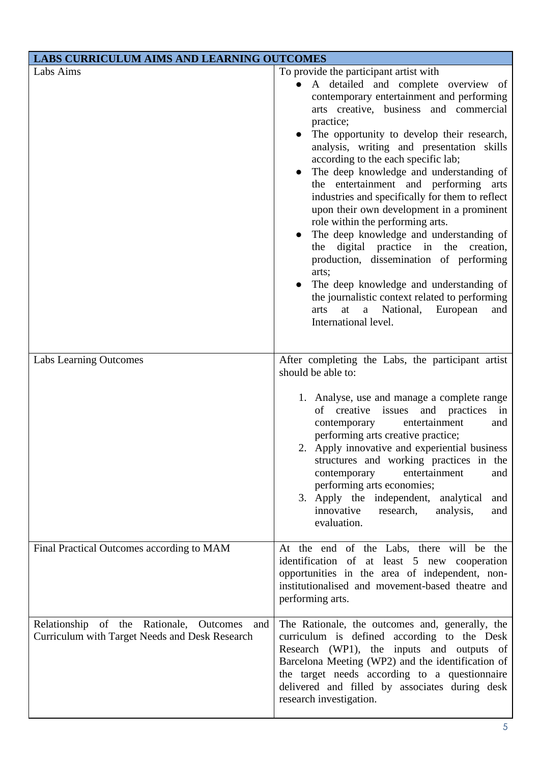| <b>LABS CURRICULUM AIMS AND LEARNING OUTCOMES</b>                                                |                                                                                                                                                                                                                                                                                                                                                                                                                                                                                                                                                                                                                                                                                                                                                                                                                                                                             |  |  |  |
|--------------------------------------------------------------------------------------------------|-----------------------------------------------------------------------------------------------------------------------------------------------------------------------------------------------------------------------------------------------------------------------------------------------------------------------------------------------------------------------------------------------------------------------------------------------------------------------------------------------------------------------------------------------------------------------------------------------------------------------------------------------------------------------------------------------------------------------------------------------------------------------------------------------------------------------------------------------------------------------------|--|--|--|
| Labs Aims                                                                                        | To provide the participant artist with<br>A detailed and complete overview of<br>$\bullet$<br>contemporary entertainment and performing<br>arts creative, business and commercial<br>practice;<br>The opportunity to develop their research,<br>analysis, writing and presentation skills<br>according to the each specific lab;<br>The deep knowledge and understanding of<br>the entertainment and performing arts<br>industries and specifically for them to reflect<br>upon their own development in a prominent<br>role within the performing arts.<br>The deep knowledge and understanding of<br>digital practice in the<br>creation,<br>the<br>production, dissemination of performing<br>arts;<br>The deep knowledge and understanding of<br>the journalistic context related to performing<br>a<br>National, European<br>arts<br>at<br>and<br>International level. |  |  |  |
| <b>Labs Learning Outcomes</b>                                                                    | After completing the Labs, the participant artist<br>should be able to:<br>1. Analyse, use and manage a complete range<br>creative<br>and practices<br>of<br>issues<br>in<br>entertainment<br>contemporary<br>and<br>performing arts creative practice;<br>2. Apply innovative and experiential business<br>structures and working practices in the<br>entertainment<br>contemporary<br>and<br>performing arts economies;<br>3. Apply the independent, analytical<br>and<br>innovative<br>research,<br>analysis,<br>and<br>evaluation.                                                                                                                                                                                                                                                                                                                                      |  |  |  |
| Final Practical Outcomes according to MAM                                                        | At the end of the Labs, there will be the<br>identification of at least 5 new cooperation<br>opportunities in the area of independent, non-<br>institutionalised and movement-based theatre and<br>performing arts.                                                                                                                                                                                                                                                                                                                                                                                                                                                                                                                                                                                                                                                         |  |  |  |
| Relationship of the Rationale, Outcomes<br>and<br>Curriculum with Target Needs and Desk Research | The Rationale, the outcomes and, generally, the<br>curriculum is defined according to the Desk<br>Research (WP1), the inputs and outputs of<br>Barcelona Meeting (WP2) and the identification of<br>the target needs according to a questionnaire<br>delivered and filled by associates during desk<br>research investigation.                                                                                                                                                                                                                                                                                                                                                                                                                                                                                                                                              |  |  |  |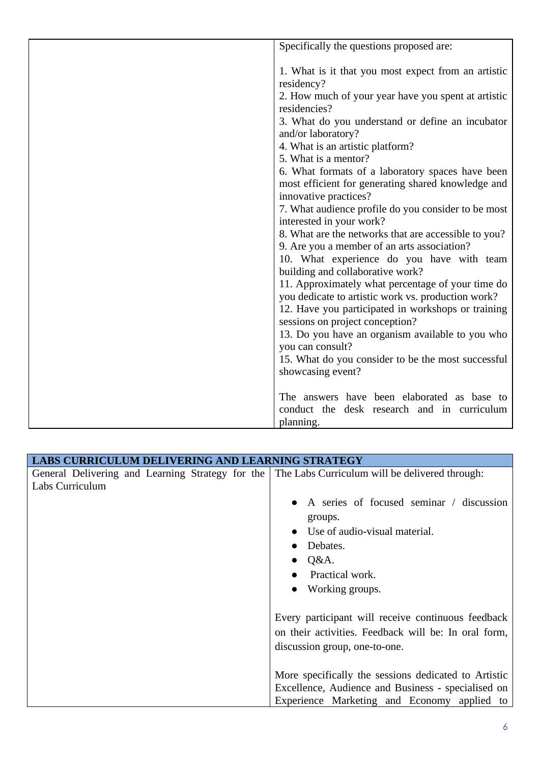| Specifically the questions proposed are:                                                                |
|---------------------------------------------------------------------------------------------------------|
|                                                                                                         |
| 1. What is it that you most expect from an artistic                                                     |
| residency?                                                                                              |
| 2. How much of your year have you spent at artistic                                                     |
| residencies?                                                                                            |
| 3. What do you understand or define an incubator                                                        |
| and/or laboratory?                                                                                      |
| 4. What is an artistic platform?                                                                        |
| 5. What is a mentor?                                                                                    |
| 6. What formats of a laboratory spaces have been                                                        |
| most efficient for generating shared knowledge and                                                      |
| innovative practices?                                                                                   |
| 7. What audience profile do you consider to be most                                                     |
| interested in your work?                                                                                |
| 8. What are the networks that are accessible to you?                                                    |
| 9. Are you a member of an arts association?                                                             |
| 10. What experience do you have with team                                                               |
| building and collaborative work?                                                                        |
| 11. Approximately what percentage of your time do<br>you dedicate to artistic work vs. production work? |
| 12. Have you participated in workshops or training                                                      |
| sessions on project conception?                                                                         |
| 13. Do you have an organism available to you who                                                        |
| you can consult?                                                                                        |
| 15. What do you consider to be the most successful                                                      |
| showcasing event?                                                                                       |
|                                                                                                         |
| The answers have been elaborated as base to                                                             |
| conduct the desk research and in curriculum                                                             |
| planning.                                                                                               |

| LABS CURRICULUM DELIVERING AND LEARNING STRATEGY                                                                   |                                                      |
|--------------------------------------------------------------------------------------------------------------------|------------------------------------------------------|
| General Delivering and Learning Strategy for the The Labs Curriculum will be delivered through:<br>Labs Curriculum | A series of focused seminar / discussion             |
|                                                                                                                    | groups.                                              |
|                                                                                                                    | • Use of audio-visual material.                      |
|                                                                                                                    | Debates.                                             |
|                                                                                                                    | $\bullet$ Q&A.                                       |
|                                                                                                                    | Practical work.                                      |
|                                                                                                                    | • Working groups.                                    |
|                                                                                                                    | Every participant will receive continuous feedback   |
|                                                                                                                    | on their activities. Feedback will be: In oral form, |
|                                                                                                                    | discussion group, one-to-one.                        |
|                                                                                                                    | More specifically the sessions dedicated to Artistic |
|                                                                                                                    | Excellence, Audience and Business - specialised on   |
|                                                                                                                    | Experience Marketing and Economy applied to          |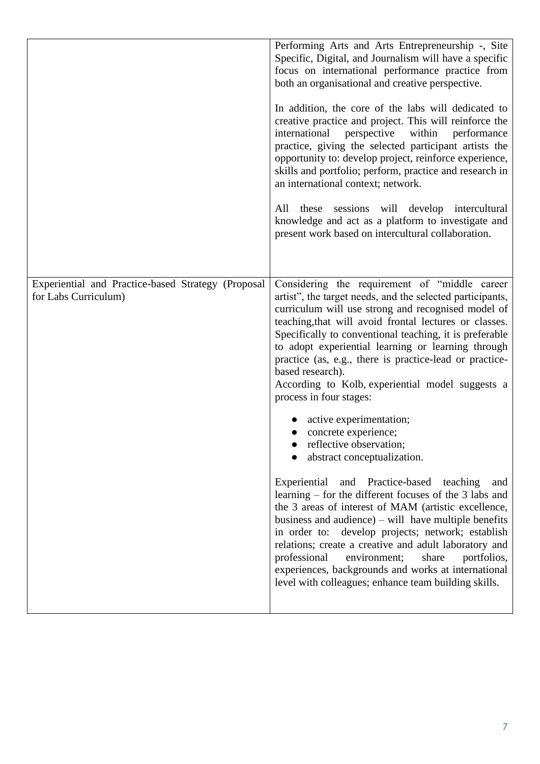|                                                                            | Performing Arts and Arts Entrepreneurship -, Site<br>Specific, Digital, and Journalism will have a specific<br>focus on international performance practice from<br>both an organisational and creative perspective.<br>In addition, the core of the labs will dedicated to<br>creative practice and project. This will reinforce the<br>within<br>international<br>perspective<br>performance<br>practice, giving the selected participant artists the<br>opportunity to: develop project, reinforce experience,<br>skills and portfolio; perform, practice and research in<br>an international context; network.<br>All these sessions will develop intercultural<br>knowledge and act as a platform to investigate and<br>present work based on intercultural collaboration. |
|----------------------------------------------------------------------------|--------------------------------------------------------------------------------------------------------------------------------------------------------------------------------------------------------------------------------------------------------------------------------------------------------------------------------------------------------------------------------------------------------------------------------------------------------------------------------------------------------------------------------------------------------------------------------------------------------------------------------------------------------------------------------------------------------------------------------------------------------------------------------|
| Experiential and Practice-based Strategy (Proposal<br>for Labs Curriculum) | Considering the requirement of "middle career<br>artist", the target needs, and the selected participants,<br>curriculum will use strong and recognised model of<br>teaching, that will avoid frontal lectures or classes.<br>Specifically to conventional teaching, it is preferable<br>to adopt experiential learning or learning through<br>practice (as, e.g., there is practice-lead or practice-<br>based research).<br>According to Kolb, experiential model suggests a<br>process in four stages:                                                                                                                                                                                                                                                                      |
|                                                                            | active experimentation;<br>concrete experience;<br>reflective observation;<br>abstract conceptualization.                                                                                                                                                                                                                                                                                                                                                                                                                                                                                                                                                                                                                                                                      |
|                                                                            | Experiential and Practice-based teaching<br>and<br>learning – for the different focuses of the 3 labs and<br>the 3 areas of interest of MAM (artistic excellence,<br>business and audience) $-$ will have multiple benefits<br>in order to: develop projects; network; establish<br>relations; create a creative and adult laboratory and<br>professional<br>environment;<br>share<br>portfolios,<br>experiences, backgrounds and works at international<br>level with colleagues; enhance team building skills.                                                                                                                                                                                                                                                               |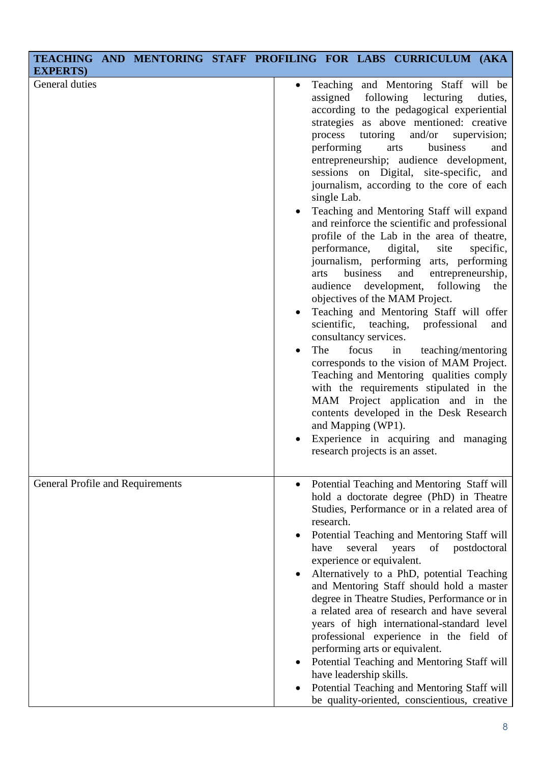| <b>EXPERTS</b> )                 | TEACHING AND MENTORING STAFF PROFILING FOR LABS CURRICULUM (AKA |                        |                                                                             |                                                                                              |                                                                                                                                                                                                                                                                                                                                                                                                                                                                                                                                                                                                                                                                                                                                                                                                                                                                                                                                                                                           |                                                         |                                           |
|----------------------------------|-----------------------------------------------------------------|------------------------|-----------------------------------------------------------------------------|----------------------------------------------------------------------------------------------|-------------------------------------------------------------------------------------------------------------------------------------------------------------------------------------------------------------------------------------------------------------------------------------------------------------------------------------------------------------------------------------------------------------------------------------------------------------------------------------------------------------------------------------------------------------------------------------------------------------------------------------------------------------------------------------------------------------------------------------------------------------------------------------------------------------------------------------------------------------------------------------------------------------------------------------------------------------------------------------------|---------------------------------------------------------|-------------------------------------------|
| General duties                   |                                                                 | $\bullet$<br>$\bullet$ | assigned<br>process<br>performing<br>single Lab.<br>arts<br>audience<br>The | tutoring<br>performance,<br>business<br>consultancy services.<br>focus<br>and Mapping (WP1). | Teaching and Mentoring Staff will be<br>following<br>lecturing<br>according to the pedagogical experiential<br>strategies as above mentioned: creative<br>and/or<br>business<br>arts<br>entrepreneurship; audience development,<br>sessions on Digital, site-specific, and<br>journalism, according to the core of each<br>Teaching and Mentoring Staff will expand<br>and reinforce the scientific and professional<br>profile of the Lab in the area of theatre,<br>digital,<br>site<br>journalism, performing arts, performing<br>and<br>development, following<br>objectives of the MAM Project.<br>Teaching and Mentoring Staff will offer<br>scientific, teaching, professional<br>in<br>corresponds to the vision of MAM Project.<br>Teaching and Mentoring qualities comply<br>with the requirements stipulated in the<br>MAM Project application and in the<br>contents developed in the Desk Research<br>Experience in acquiring and managing<br>research projects is an asset. | supervision;<br>entrepreneurship,<br>teaching/mentoring | duties,<br>and<br>specific,<br>the<br>and |
| General Profile and Requirements |                                                                 |                        | research.<br>have                                                           | several<br>experience or equivalent.<br>have leadership skills.                              | Potential Teaching and Mentoring Staff will<br>hold a doctorate degree (PhD) in Theatre<br>Studies, Performance or in a related area of<br>Potential Teaching and Mentoring Staff will<br>of<br>years<br>Alternatively to a PhD, potential Teaching<br>and Mentoring Staff should hold a master<br>degree in Theatre Studies, Performance or in<br>a related area of research and have several<br>years of high international-standard level<br>professional experience in the field of<br>performing arts or equivalent.<br>Potential Teaching and Mentoring Staff will<br>Potential Teaching and Mentoring Staff will<br>be quality-oriented, conscientious, creative                                                                                                                                                                                                                                                                                                                   | postdoctoral                                            |                                           |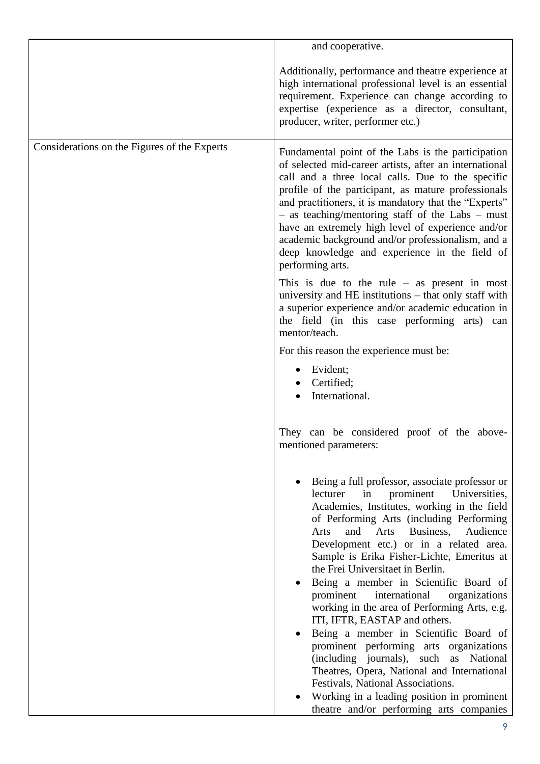|                                              | and cooperative.                                                                                                                                                                                                                                                                                                                                                                                                                                                                                                                                                                                                                                                                                                                                                                                                                                         |
|----------------------------------------------|----------------------------------------------------------------------------------------------------------------------------------------------------------------------------------------------------------------------------------------------------------------------------------------------------------------------------------------------------------------------------------------------------------------------------------------------------------------------------------------------------------------------------------------------------------------------------------------------------------------------------------------------------------------------------------------------------------------------------------------------------------------------------------------------------------------------------------------------------------|
|                                              | Additionally, performance and theatre experience at<br>high international professional level is an essential<br>requirement. Experience can change according to<br>expertise (experience as a director, consultant,<br>producer, writer, performer etc.)                                                                                                                                                                                                                                                                                                                                                                                                                                                                                                                                                                                                 |
| Considerations on the Figures of the Experts | Fundamental point of the Labs is the participation<br>of selected mid-career artists, after an international<br>call and a three local calls. Due to the specific<br>profile of the participant, as mature professionals<br>and practitioners, it is mandatory that the "Experts"<br>$-$ as teaching/mentoring staff of the Labs $-$ must<br>have an extremely high level of experience and/or<br>academic background and/or professionalism, and a<br>deep knowledge and experience in the field of<br>performing arts.<br>This is due to the rule $-$ as present in most<br>university and HE institutions – that only staff with<br>a superior experience and/or academic education in<br>the field (in this case performing arts) can<br>mentor/teach.<br>For this reason the experience must be:                                                    |
|                                              | Evident;<br>Certified;<br>International.                                                                                                                                                                                                                                                                                                                                                                                                                                                                                                                                                                                                                                                                                                                                                                                                                 |
|                                              | They can be considered proof of the above-<br>mentioned parameters:                                                                                                                                                                                                                                                                                                                                                                                                                                                                                                                                                                                                                                                                                                                                                                                      |
|                                              | Being a full professor, associate professor or<br>lecturer<br>in<br>prominent Universities,<br>Academies, Institutes, working in the field<br>of Performing Arts (including Performing<br>Business,<br>and<br>Arts<br>Audience<br>Arts<br>Development etc.) or in a related area.<br>Sample is Erika Fisher-Lichte, Emeritus at<br>the Frei Universitaet in Berlin.<br>Being a member in Scientific Board of<br>prominent<br>international<br>organizations<br>working in the area of Performing Arts, e.g.<br>ITI, IFTR, EASTAP and others.<br>Being a member in Scientific Board of<br>prominent performing arts organizations<br>(including journals), such as National<br>Theatres, Opera, National and International<br>Festivals, National Associations.<br>Working in a leading position in prominent<br>theatre and/or performing arts companies |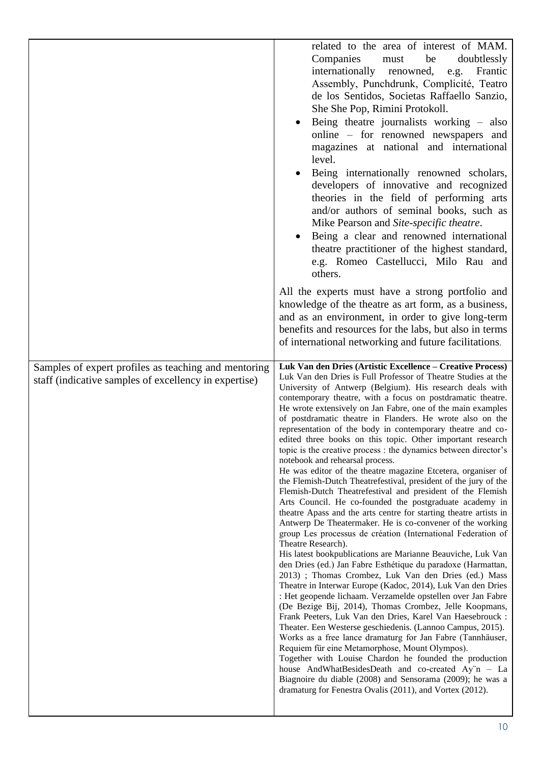|                                                                                                               | related to the area of interest of MAM.                                                                                                                                                                                                                                                                                                                                                                                                                                                                                                                                                                                                                                                                                                                                                                                                                                                                                                                                                                                                                                                                                                                                                                                                                                                                                                                                                                                                                                                                                                                                                                                                                                                                                                                                                                                                                                                                                                                                     |
|---------------------------------------------------------------------------------------------------------------|-----------------------------------------------------------------------------------------------------------------------------------------------------------------------------------------------------------------------------------------------------------------------------------------------------------------------------------------------------------------------------------------------------------------------------------------------------------------------------------------------------------------------------------------------------------------------------------------------------------------------------------------------------------------------------------------------------------------------------------------------------------------------------------------------------------------------------------------------------------------------------------------------------------------------------------------------------------------------------------------------------------------------------------------------------------------------------------------------------------------------------------------------------------------------------------------------------------------------------------------------------------------------------------------------------------------------------------------------------------------------------------------------------------------------------------------------------------------------------------------------------------------------------------------------------------------------------------------------------------------------------------------------------------------------------------------------------------------------------------------------------------------------------------------------------------------------------------------------------------------------------------------------------------------------------------------------------------------------------|
|                                                                                                               | Companies<br>be<br>must<br>doubtlessly<br>internationally<br>renowned,<br>Frantic<br>e.g.<br>Assembly, Punchdrunk, Complicité, Teatro<br>de los Sentidos, Societas Raffaello Sanzio,<br>She She Pop, Rimini Protokoll.<br>Being theatre journalists working – also<br>online – for renowned newspapers and<br>magazines at national and international<br>level.<br>Being internationally renowned scholars,<br>developers of innovative and recognized<br>theories in the field of performing arts<br>and/or authors of seminal books, such as<br>Mike Pearson and Site-specific theatre.<br>Being a clear and renowned international<br>theatre practitioner of the highest standard,<br>e.g. Romeo Castellucci, Milo Rau and                                                                                                                                                                                                                                                                                                                                                                                                                                                                                                                                                                                                                                                                                                                                                                                                                                                                                                                                                                                                                                                                                                                                                                                                                                              |
|                                                                                                               | others.<br>All the experts must have a strong portfolio and<br>knowledge of the theatre as art form, as a business,<br>and as an environment, in order to give long-term<br>benefits and resources for the labs, but also in terms<br>of international networking and future facilitations.                                                                                                                                                                                                                                                                                                                                                                                                                                                                                                                                                                                                                                                                                                                                                                                                                                                                                                                                                                                                                                                                                                                                                                                                                                                                                                                                                                                                                                                                                                                                                                                                                                                                                 |
| Samples of expert profiles as teaching and mentoring<br>staff (indicative samples of excellency in expertise) | Luk Van den Dries (Artistic Excellence – Creative Process)<br>Luk Van den Dries is Full Professor of Theatre Studies at the<br>University of Antwerp (Belgium). His research deals with<br>contemporary theatre, with a focus on postdramatic theatre.<br>He wrote extensively on Jan Fabre, one of the main examples<br>of postdramatic theatre in Flanders. He wrote also on the<br>representation of the body in contemporary theatre and co-<br>edited three books on this topic. Other important research<br>topic is the creative process : the dynamics between director's<br>notebook and rehearsal process.<br>He was editor of the theatre magazine Etcetera, organiser of<br>the Flemish-Dutch Theatrefestival, president of the jury of the<br>Flemish-Dutch Theatrefestival and president of the Flemish<br>Arts Council. He co-founded the postgraduate academy in<br>theatre Apass and the arts centre for starting theatre artists in<br>Antwerp De Theatermaker. He is co-convener of the working<br>group Les processus de création (International Federation of<br>Theatre Research).<br>His latest bookpublications are Marianne Beauviche, Luk Van<br>den Dries (ed.) Jan Fabre Esthétique du paradoxe (Harmattan,<br>2013) ; Thomas Crombez, Luk Van den Dries (ed.) Mass<br>Theatre in Interwar Europe (Kadoc, 2014), Luk Van den Dries<br>: Het geopende lichaam. Verzamelde opstellen over Jan Fabre<br>(De Bezige Bij, 2014), Thomas Crombez, Jelle Koopmans,<br>Frank Peeters, Luk Van den Dries, Karel Van Haesebrouck :<br>Theater. Een Westerse geschiedenis. (Lannoo Campus, 2015).<br>Works as a free lance dramaturg for Jan Fabre (Tannhäuser,<br>Requiem für eine Metamorphose, Mount Olympos).<br>Together with Louise Chardon he founded the production<br>house AndWhatBesidesDeath and co-created Ay"n - La<br>Biagnoire du diable (2008) and Sensorama (2009); he was a<br>dramaturg for Fenestra Ovalis (2011), and Vortex (2012). |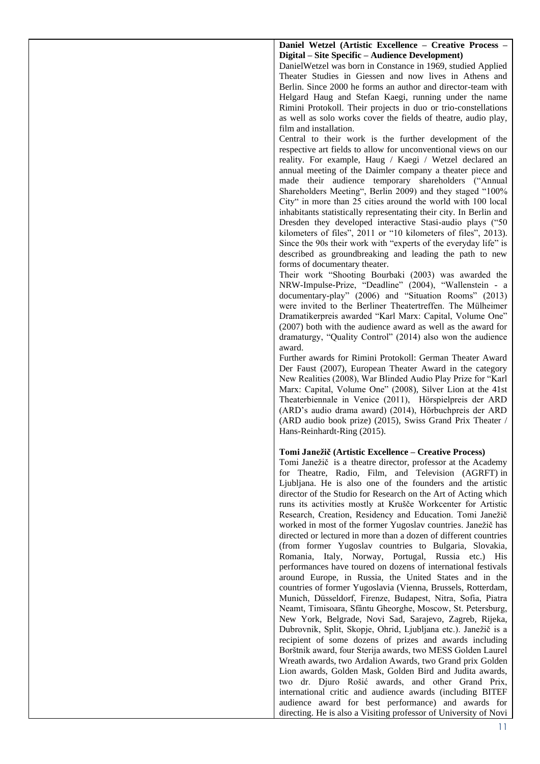**Daniel Wetzel (Artistic Excellence – Creative Process – Digital – Site Specific – Audience Development)**

DanielWetzel was born in Constance in 1969, studied Applied Theater Studies in Giessen and now lives in Athens and Berlin. Since 2000 he forms an author and director-team with Helgard Haug and Stefan Kaegi, running under the name Rimini Protokoll. Their projects in duo or trio-constellations as well as solo works cover the fields of theatre, audio play, film and installation.

Central to their work is the further development of the respective art fields to allow for unconventional views on our reality. For example, Haug / Kaegi / Wetzel declared an annual meeting of the Daimler company a theater piece and made their audience temporary shareholders ("Annual Shareholders Meeting", Berlin 2009) and they staged "100% City" in more than 25 cities around the world with 100 local inhabitants statistically representating their city. In Berlin and Dresden they developed interactive Stasi-audio plays ("50 kilometers of files", 2011 or "10 kilometers of files", 2013). Since the 90s their work with "experts of the everyday life" is described as groundbreaking and leading the path to new forms of documentary theater.

Their work "Shooting Bourbaki (2003) was awarded the NRW-Impulse-Prize, "Deadline" (2004), "Wallenstein - a documentary-play" (2006) and "Situation Rooms" (2013) were invited to the Berliner Theatertreffen. The Mülheimer Dramatikerpreis awarded "Karl Marx: Capital, Volume One" (2007) both with the audience award as well as the award for dramaturgy, "Quality Control" (2014) also won the audience award.

Further awards for Rimini Protokoll: German Theater Award Der Faust (2007), European Theater Award in the category New Realities (2008), War Blinded Audio Play Prize for "Karl Marx: Capital, Volume One" (2008), Silver Lion at the 41st Theaterbiennale in Venice (2011), Hörspielpreis der ARD (ARD's audio drama award) (2014), Hörbuchpreis der ARD (ARD audio book prize) (2015), Swiss Grand Prix Theater / Hans-Reinhardt-Ring (2015).

#### **Tomi Janežič (Artistic Excellence – Creative Process)**

Tomi Janežič is a theatre director, professor at the Academy for Theatre, Radio, Film, and Television (AGRFT) in Ljubljana. He is also one of the founders and the artistic director of the Studio for Research on the Art of Acting which runs its activities mostly at Krušče Workcenter for Artistic Research, Creation, Residency and Education. Tomi Janežič worked in most of the former Yugoslav countries. Janežič has directed or lectured in more than a dozen of different countries (from former Yugoslav countries to Bulgaria, Slovakia, Romania, Italy, Norway, Portugal, Russia etc.) His performances have toured on dozens of international festivals around Europe, in Russia, the United States and in the countries of former Yugoslavia (Vienna, Brussels, Rotterdam, Munich, Düsseldorf, Firenze, Budapest, Nitra, Sofia, Piatra Neamt, Timisoara, Sfântu Gheorghe, Moscow, St. Petersburg, New York, Belgrade, Novi Sad, Sarajevo, Zagreb, Rijeka, Dubrovnik, Split, Skopje, Ohrid, Ljubljana etc.). Janežič is a recipient of some dozens of prizes and awards including Borštnik award, four Sterija awards, two MESS Golden Laurel Wreath awards, two Ardalion Awards, two Grand prix Golden Lion awards, Golden Mask, Golden Bird and Judita awards, two dr. Djuro Rošić awards, and other Grand Prix, international critic and audience awards (including BITEF audience award for best performance) and awards for directing. He is also a Visiting professor of University of Novi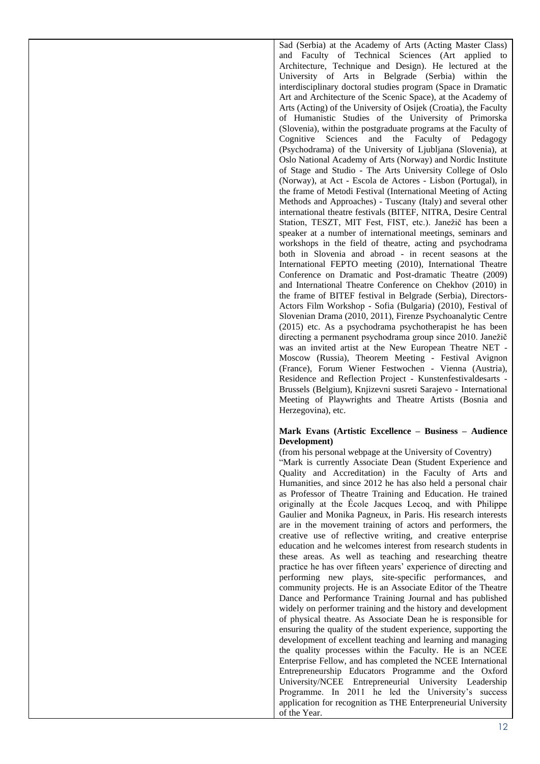Sad (Serbia) at the Academy of Arts (Acting Master Class) and Faculty of Technical Sciences (Art applied to Architecture, Technique and Design). He lectured at the University of Arts in Belgrade (Serbia) within the interdisciplinary doctoral studies program (Space in Dramatic Art and Architecture of the Scenic Space), at the Academy of Arts (Acting) of the University of Osijek (Croatia), the Faculty of Humanistic Studies of the University of Primorska (Slovenia), within the postgraduate programs at the Faculty of Cognitive Sciences and the Faculty of Pedagogy (Psychodrama) of the University of Ljubljana (Slovenia), at Oslo National Academy of Arts (Norway) and Nordic Institute of Stage and Studio - The Arts University College of Oslo (Norway), at Act - Escola de Actores - Lisbon (Portugal), in the frame of Metodi Festival (International Meeting of Acting Methods and Approaches) - Tuscany (Italy) and several other international theatre festivals (BITEF, NITRA, Desire Central Station, TESZT, MIT Fest, FIST, etc.). Janežič has been a speaker at a number of international meetings, seminars and workshops in the field of theatre, acting and psychodrama both in Slovenia and abroad - in recent seasons at the International FEPTO meeting (2010), International Theatre Conference on Dramatic and Post-dramatic Theatre (2009) and International Theatre Conference on Chekhov (2010) in the frame of BITEF festival in Belgrade (Serbia), Directors-Actors Film Workshop - Sofia (Bulgaria) (2010), Festival of Slovenian Drama (2010, 2011), Firenze Psychoanalytic Centre (2015) etc. As a psychodrama psychotherapist he has been directing a permanent psychodrama group since 2010. Janežič was an invited artist at the New European Theatre NET - Moscow (Russia), Theorem Meeting - Festival Avignon (France), Forum Wiener Festwochen - Vienna (Austria), Residence and Reflection Project - Kunstenfestivaldesarts - Brussels (Belgium), Knjizevni susreti Sarajevo - International Meeting of Playwrights and Theatre Artists (Bosnia and Herzegovina), etc.

### **Mark Evans (Artistic Excellence – Business – Audience Development)**

(from his personal webpage at the University of Coventry)

"Mark is currently Associate Dean (Student Experience and Quality and Accreditation) in the Faculty of Arts and Humanities, and since 2012 he has also held a personal chair as Professor of Theatre Training and Education. He trained originally at the École Jacques Lecoq, and with Philippe Gaulier and Monika Pagneux, in Paris. His research interests are in the movement training of actors and performers, the creative use of reflective writing, and creative enterprise education and he welcomes interest from research students in these areas. As well as teaching and researching theatre practice he has over fifteen years' experience of directing and performing new plays, site-specific performances, and community projects. He is an Associate Editor of the Theatre Dance and Performance Training Journal and has published widely on performer training and the history and development of physical theatre. As Associate Dean he is responsible for ensuring the quality of the student experience, supporting the development of excellent teaching and learning and managing the quality processes within the Faculty. He is an NCEE Enterprise Fellow, and has completed the NCEE International Entrepreneurship Educators Programme and the Oxford University/NCEE Entrepreneurial University Leadership Programme. In 2011 he led the University's success application for recognition as THE Enterpreneurial University of the Year.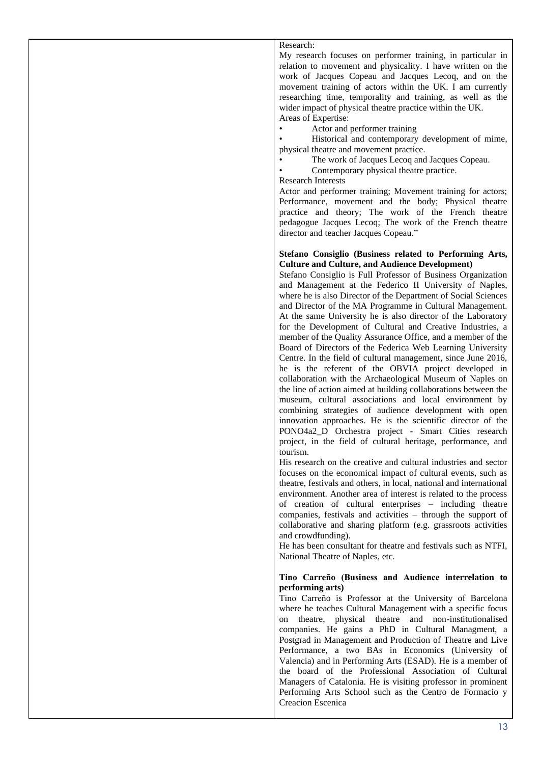### Research:

My research focuses on performer training, in particular in relation to movement and physicality. I have written on the work of Jacques Copeau and Jacques Lecoq, and on the movement training of actors within the UK. I am currently researching time, temporality and training, as well as the wider impact of physical theatre practice within the UK. Areas of Expertise:

• Actor and performer training

Historical and contemporary development of mime, physical theatre and movement practice.

- The work of Jacques Lecoq and Jacques Copeau.
- Contemporary physical theatre practice.

#### Research Interests

Actor and performer training; Movement training for actors; Performance, movement and the body; Physical theatre practice and theory; The work of the French theatre pedagogue Jacques Lecoq; The work of the French theatre director and teacher Jacques Copeau."

#### **Stefano Consiglio (Business related to Performing Arts, Culture and Culture, and Audience Development)**

Stefano Consiglio is Full Professor of Business Organization and Management at the Federico II University of Naples, where he is also Director of the Department of Social Sciences and Director of the MA Programme in Cultural Management. At the same University he is also director of the Laboratory for the Development of Cultural and Creative Industries, a member of the Quality Assurance Office, and a member of the Board of Directors of the Federica Web Learning University Centre. In the field of cultural management, since June 2016, he is the referent of the OBVIA project developed in collaboration with the Archaeological Museum of Naples on the line of action aimed at building collaborations between the museum, cultural associations and local environment by combining strategies of audience development with open innovation approaches. He is the scientific director of the PONO4a2\_D Orchestra project - Smart Cities research project, in the field of cultural heritage, performance, and tourism.

His research on the creative and cultural industries and sector focuses on the economical impact of cultural events, such as theatre, festivals and others, in local, national and international environment. Another area of interest is related to the process of creation of cultural enterprises – including theatre companies, festivals and activities – through the support of collaborative and sharing platform (e.g. grassroots activities and crowdfunding).

He has been consultant for theatre and festivals such as NTFI, National Theatre of Naples, etc.

### **Tino Carreño (Business and Audience interrelation to performing arts)**

Tino Carreño is Professor at the University of Barcelona where he teaches Cultural Management with a specific focus on theatre, physical theatre and non-institutionalised companies. He gains a PhD in Cultural Managment, a Postgrad in Management and Production of Theatre and Live Performance, a two BAs in Economics (University of Valencia) and in Performing Arts (ESAD). He is a member of the board of the Professional Association of Cultural Managers of Catalonia. He is visiting professor in prominent Performing Arts School such as the Centro de Formacio y Creacion Escenica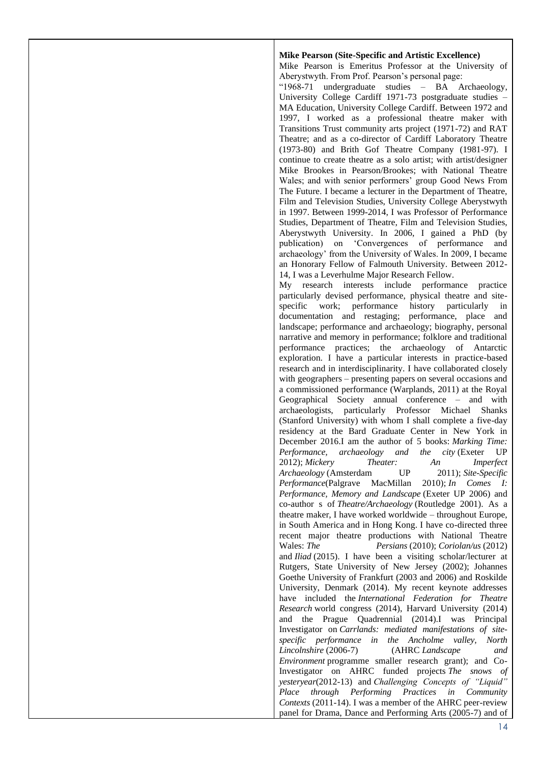### **Mike Pearson (Site-Specific and Artistic Excellence)**

Mike Pearson is Emeritus Professor at the University of Aberystwyth. From Prof. Pearson's personal page:

"1968-71 undergraduate studies – BA Archaeology, University College Cardiff 1971-73 postgraduate studies – MA Education, University College Cardiff. Between 1972 and 1997, I worked as a professional theatre maker with Transitions Trust community arts project (1971-72) and RAT Theatre; and as a co-director of Cardiff Laboratory Theatre (1973-80) and Brith Gof Theatre Company (1981-97). I continue to create theatre as a solo artist; with artist/designer Mike Brookes in Pearson/Brookes; with National Theatre Wales; and with senior performers' group Good News From The Future. I became a lecturer in the Department of Theatre, Film and Television Studies, University College Aberystwyth in 1997. Between 1999-2014, I was Professor of Performance Studies, Department of Theatre, Film and Television Studies, Aberystwyth University. In 2006, I gained a PhD (by publication) on 'Convergences of performance and archaeology' from the University of Wales. In 2009, I became an Honorary Fellow of Falmouth University. Between 2012- 14, I was a Leverhulme Major Research Fellow.

My research interests include performance practice particularly devised performance, physical theatre and sitespecific work; performance history particularly in documentation and restaging; performance, place and landscape; performance and archaeology; biography, personal narrative and memory in performance; folklore and traditional performance practices; the archaeology of Antarctic exploration. I have a particular interests in practice-based research and in interdisciplinarity. I have collaborated closely with geographers – presenting papers on several occasions and a commissioned performance (Warplands, 2011) at the Royal Geographical Society annual conference – and with archaeologists, particularly Professor Michael Shanks (Stanford University) with whom I shall complete a five-day residency at the Bard Graduate Center in New York in December 2016.I am the author of 5 books: *Marking Time: Performance, archaeology and the city* (Exeter UP 2012); *Mickery Theater: An Imperfect Archaeology* (Amsterdam UP 2011); *Site-Specific Performance*(Palgrave MacMillan 2010); *In Comes I: Performance, Memory and Landscape* (Exeter UP 2006) and co-author s of *Theatre/Archaeology* (Routledge 2001). As a theatre maker, I have worked worldwide – throughout Europe, in South America and in Hong Kong. I have co-directed three recent major theatre productions with National Theatre Wales: *The Persians* (2010); *Coriolan/us* (2012) and *Iliad* (2015). I have been a visiting scholar/lecturer at Rutgers, State University of New Jersey (2002); Johannes Goethe University of Frankfurt (2003 and 2006) and Roskilde University, Denmark (2014). My recent keynote addresses have included the *International Federation for Theatre Research* world congress (2014), Harvard University (2014) and the Prague Quadrennial (2014).I was Principal Investigator on *Carrlands: mediated manifestations of sitespecific performance in the Ancholme valley, North Lincolnshire* (2006-7) (AHRC *Landscape and Environment* programme smaller research grant); and Co-Investigator on AHRC funded projects *The snows of yesteryear*(2012-13) and *Challenging Concepts of "Liquid" Place through Performing Practices in Community Contexts* (2011-14). I was a member of the AHRC peer-review panel for Drama, Dance and Performing Arts (2005-7) and of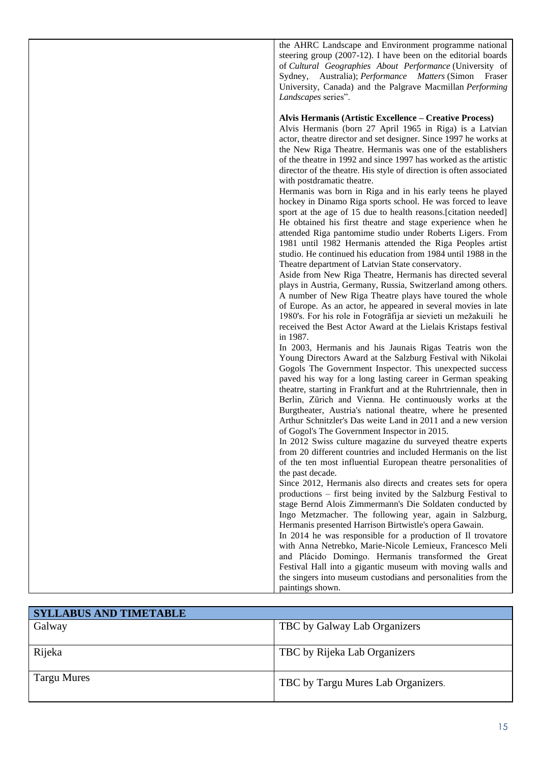the AHRC Landscape and Environment programme national steering group (2007-12). I have been on the editorial boards of *Cultural Geographies About Performance* (University of Sydney, Australia); *Performance Matters* (Simon Fraser University, Canada) and the Palgrave Macmillan *Performing Landscapes* series".

### **Alvis Hermanis (Artistic Excellence – Creative Process)**

Alvis Hermanis (born 27 April 1965 in Riga) is a Latvian actor, theatre director and set designer. Since 1997 he works at the New Riga Theatre. Hermanis was one of the establishers of the theatre in 1992 and since 1997 has worked as the artistic director of the theatre. His style of direction is often associated with postdramatic theatre.

Hermanis was born in Riga and in his early teens he played hockey in Dinamo Riga sports school. He was forced to leave sport at the age of 15 due to health reasons.[citation needed] He obtained his first theatre and stage experience when he attended Riga pantomime studio under Roberts Ligers. From 1981 until 1982 Hermanis attended the Riga Peoples artist studio. He continued his education from 1984 until 1988 in the Theatre department of Latvian State conservatory.

Aside from New Riga Theatre, Hermanis has directed several plays in Austria, Germany, Russia, Switzerland among others. A number of New Riga Theatre plays have toured the whole of Europe. As an actor, he appeared in several movies in late 1980's. For his role in Fotogrāfija ar sievieti un mežakuili he received the Best Actor Award at the Lielais Kristaps festival in 1987.

In 2003, Hermanis and his Jaunais Rigas Teatris won the Young Directors Award at the Salzburg Festival with Nikolai Gogols The Government Inspector. This unexpected success paved his way for a long lasting career in German speaking theatre, starting in Frankfurt and at the Ruhrtriennale, then in Berlin, Zürich and Vienna. He continuously works at the Burgtheater, Austria's national theatre, where he presented Arthur Schnitzler's Das weite Land in 2011 and a new version of Gogol's The Government Inspector in 2015.

In 2012 Swiss culture magazine du surveyed theatre experts from 20 different countries and included Hermanis on the list of the ten most influential European theatre personalities of the past decade.

Since 2012, Hermanis also directs and creates sets for opera productions – first being invited by the Salzburg Festival to stage Bernd Alois Zimmermann's Die Soldaten conducted by Ingo Metzmacher. The following year, again in Salzburg, Hermanis presented Harrison Birtwistle's opera Gawain.

In 2014 he was responsible for a production of Il trovatore with Anna Netrebko, Marie-Nicole Lemieux, Francesco Meli and Plácido Domingo. Hermanis transformed the Great Festival Hall into a gigantic museum with moving walls and the singers into museum custodians and personalities from the paintings shown.

| <b>SYLLABUS AND TIMETABLE</b> |                                    |
|-------------------------------|------------------------------------|
| Galway                        | TBC by Galway Lab Organizers       |
|                               |                                    |
| Rijeka                        | TBC by Rijeka Lab Organizers       |
| Targu Mures                   | TBC by Targu Mures Lab Organizers. |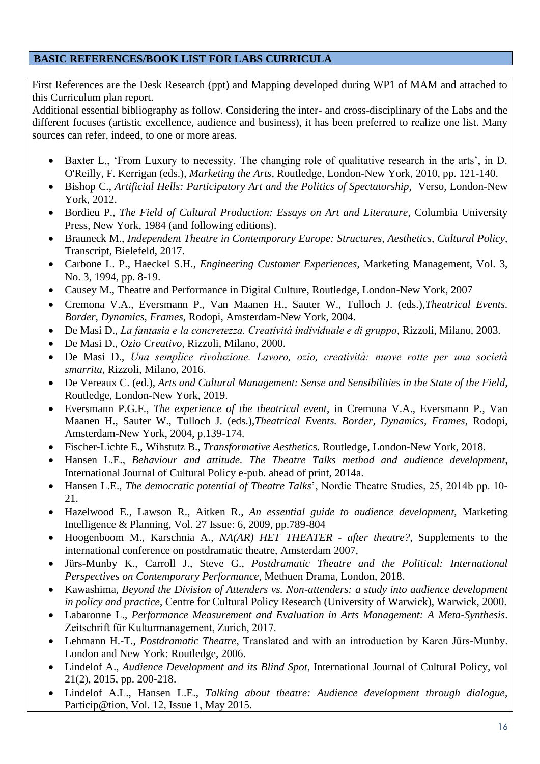# **BASIC REFERENCES/BOOK LIST FOR LABS CURRICULA**

First References are the Desk Research (ppt) and Mapping developed during WP1 of MAM and attached to this Curriculum plan report.

Additional essential bibliography as follow. Considering the inter- and cross-disciplinary of the Labs and the different focuses (artistic excellence, audience and business), it has been preferred to realize one list. Many sources can refer, indeed, to one or more areas.

- Baxter L., 'From Luxury to necessity. The changing role of qualitative research in the arts', in D. O'Reilly, F. Kerrigan (eds.), *Marketing the Arts*, Routledge, London-New York, 2010, pp. 121-140.
- Bishop C., *Artificial Hells: Participatory Art and the Politics of Spectatorship*, Verso, London-New York, 2012.
- Bordieu P., *The Field of Cultural Production: Essays on Art and Literature*, Columbia University Press, New York, 1984 (and following editions).
- Brauneck M., *Independent Theatre in Contemporary Europe: Structures, Aesthetics, Cultural Policy*, Transcript, Bielefeld, 2017.
- Carbone L. P., Haeckel S.H., *Engineering Customer Experiences*, Marketing Management, Vol. 3, No. 3, 1994, pp. 8-19.
- Causey M., Theatre and Performance in Digital Culture, Routledge, London-New York, 2007
- Cremona V.A., Eversmann P., Van Maanen H., Sauter W., Tulloch J. (eds.),*Theatrical Events. Border, Dynamics, Frames*, Rodopi, Amsterdam-New York, 2004.
- De Masi D., *La fantasia e la concretezza. Creatività individuale e di gruppo*, Rizzoli, Milano, 2003.
- De Masi D., *Ozio Creativo*, Rizzoli, Milano, 2000.
- De Masi D., *Una semplice rivoluzione. Lavoro, ozio, creatività: nuove rotte per una società smarrita*, Rizzoli, Milano, 2016.
- De Vereaux C. (ed.), *Arts and Cultural Management: Sense and Sensibilities in the State of the Field*, Routledge, London-New York, 2019.
- Eversmann P.G.F., *The experience of the theatrical event*, in Cremona V.A., Eversmann P., Van Maanen H., Sauter W., Tulloch J. (eds.),*Theatrical Events. Border, Dynamics, Frames*, Rodopi, Amsterdam-New York, 2004, p.139-174.
- Fischer-Lichte E., Wihstutz B., *Transformative Aesthetic*s. Routledge, London-New York, 2018.
- Hansen L.E., *Behaviour and attitude. The Theatre Talks method and audience development*, International Journal of Cultural Policy e-pub. ahead of print, 2014a.
- Hansen L.E., *The democratic potential of Theatre Talks*', Nordic Theatre Studies, 25, 2014b pp. 10- 21.
- Hazelwood E., Lawson R., Aitken R., *An essential guide to audience development*, Marketing Intelligence & Planning, Vol. 27 Issue: 6, 2009, pp.789-804
- Hoogenboom M., Karschnia A., *NA(AR) HET THEATER - after theatre?*, Supplements to the international conference on postdramatic theatre, Amsterdam 2007,
- Jürs-Munby K., Carroll J., Steve G., *Postdramatic Theatre and the Political: International Perspectives on Contemporary Performance*, Methuen Drama, London, 2018.
- Kawashima, *Beyond the Division of Attenders vs. Non-attenders: a study into audience development in policy and practice*, Centre for Cultural Policy Research (University of Warwick), Warwick, 2000.
- Labaronne L., *Performance Measurement and Evaluation in Arts Management: A Meta-Synthesis*. Zeitschrift für Kulturmanagement, Zurich, 2017.
- Lehmann H.-T., *Postdramatic Theatre*, Translated and with an introduction by Karen Jürs-Munby. London and New York: Routledge, 2006.
- Lindelof A., *Audience Development and its Blind Spot*, International Journal of Cultural Policy, vol 21(2), 2015, pp. 200-218.
- Lindelof A.L., Hansen L.E., *Talking about theatre: Audience development through dialogue*, Particip@tion, Vol. 12, Issue 1, May 2015.